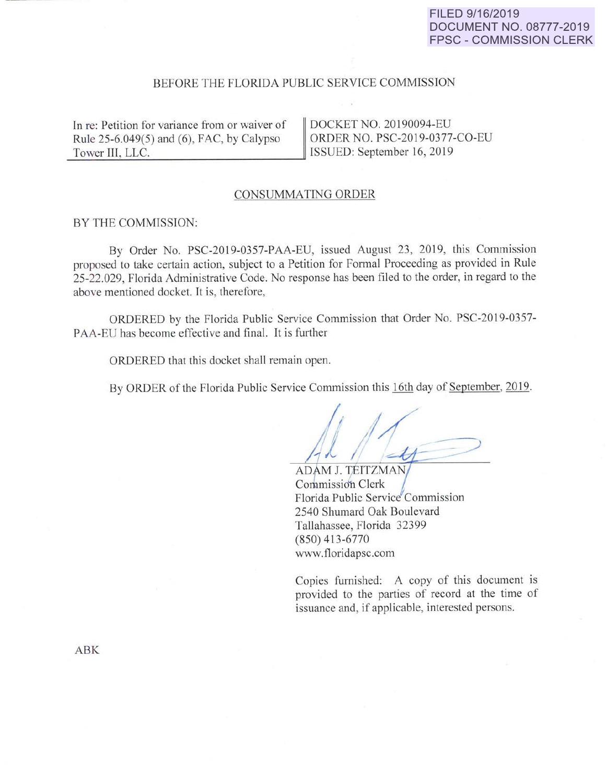# **FILED 9/16/2019 DOCUMENT NO. 08777-2019 FPSC- COMMISSION CLERK**

### BEFORE THE FLORIDA PUBLIC SERVICE COMMISSION

In re: Petition for variance from or waiver of | DOCKET NO. 20190094-EU Rule 25-6.049(5) and (6), FAC, by Calypso  $\parallel$  ORDER NO. PSC-2019-0377-CO-EU Tower III, LLC. September 16, 2019

### CONSUMMATING ORDER

#### BY THE COMMISSION:

By Order No. PSC-2019-0357-PAA-EU, issued August 23, 2019, this Commission proposed to take certain action, subject to a Petition for Formal Proceeding as provided in Rule 25-22.029, Florida Administrative Code. No response has been filed to the order, in regard to the above mentioned docket. It is, therefore,

ORDERED by the Florida Public Service Commission that Order No. PSC-2019-0357- PAA-EU has become effective and final. It is further

ORDERED that this docket shall remain open.

By ORDER of the Florida Public Service Commission this 16th day of September, 2019.

ADAM J. TEITZMAI Commission Clerk Florida Public Service Commission 2540 Shumard Oak Boulevard Tallahassee, Florida 32399 (850) 413-6770 www.tloridapsc.com

Copies furnished: A copy of this document is provided to the parties of record at the time of issuance and, if applicable, interested persons.